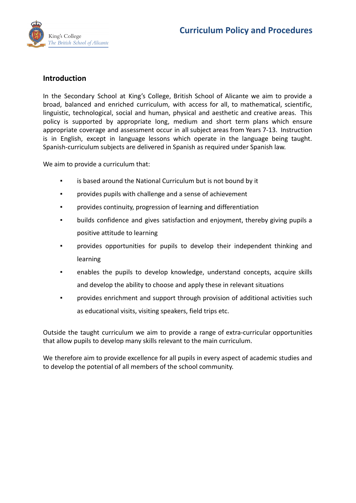

## **Introduction**

In the Secondary School at King's College, British School of Alicante we aim to provide a broad, balanced and enriched curriculum, with access for all, to mathematical, scientific, linguistic, technological, social and human, physical and aesthetic and creative areas. This policy is supported by appropriate long, medium and short term plans which ensure appropriate coverage and assessment occur in all subject areas from Years 7-13. Instruction is in English, except in language lessons which operate in the language being taught. Spanish-curriculum subjects are delivered in Spanish as required under Spanish law.

We aim to provide a curriculum that:

- **is based around the National Curriculum but is not bound by it**
- provides pupils with challenge and a sense of achievement
- provides continuity, progression of learning and differentiation
- builds confidence and gives satisfaction and enjoyment, thereby giving pupils a positive attitude to learning
- provides opportunities for pupils to develop their independent thinking and learning
- enables the pupils to develop knowledge, understand concepts, acquire skills and develop the ability to choose and apply these in relevant situations
- provides enrichment and support through provision of additional activities such as educational visits, visiting speakers, field trips etc.

Outside the taught curriculum we aim to provide a range of extra-curricular opportunities that allow pupils to develop many skills relevant to the main curriculum.

We therefore aim to provide excellence for all pupils in every aspect of academic studies and to develop the potential of all members of the school community.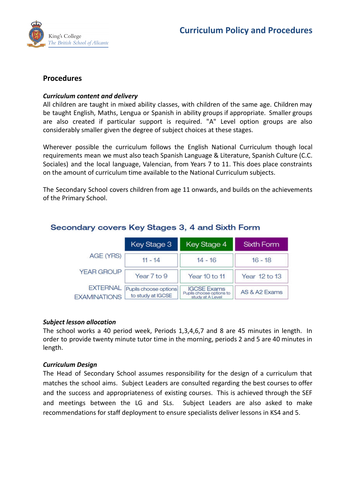

### **Procedures**

#### *Curriculum content and delivery*

All children are taught in mixed ability classes, with children of the same age. Children may be taught English, Maths, Lengua or Spanish in ability groups if appropriate. Smaller groups are also created if particular support is required. "A" Level option groups are also considerably smaller given the degree of subject choices at these stages.

Wherever possible the curriculum follows the English National Curriculum though local requirements mean we must also teach Spanish Language & Literature, Spanish Culture (C.C. Sociales) and the local language, Valencian, from Years 7 to 11. This does place constraints on the amount of curriculum time available to the National Curriculum subjects.

The Secondary School covers children from age 11 onwards, and builds on the achievements of the Primary School.

|                                        | Key Stage 3                                | Key Stage 4                                                        | <b>Sixth Form</b> |
|----------------------------------------|--------------------------------------------|--------------------------------------------------------------------|-------------------|
| AGE (YRS)                              | $11 - 14$                                  | $14 - 16$                                                          | $16 - 18$         |
| <b>YEAR GROUP</b>                      | Year 7 to 9                                | Year 10 to 11                                                      | Year 12 to 13     |
| <b>EXTERNAL</b><br><b>EXAMINATIONS</b> | Pupils choose options<br>to study at IGCSE | <b>IGCSE Exams</b><br>Pupils choose options to<br>study at A Level | AS & A2 Exams     |

## Secondary covers Key Stages 3, 4 and Sixth Form

#### *Subject lesson allocation*

The school works a 40 period week, Periods 1,3,4,6,7 and 8 are 45 minutes in length. In order to provide twenty minute tutor time in the morning, periods 2 and 5 are 40 minutes in length.

#### *Curriculum Design*

The Head of Secondary School assumes responsibility for the design of a curriculum that matches the school aims. Subject Leaders are consulted regarding the best courses to offer and the success and appropriateness of existing courses. This is achieved through the SEF and meetings between the LG and SLs. Subject Leaders are also asked to make recommendations for staff deployment to ensure specialists deliver lessons in KS4 and 5.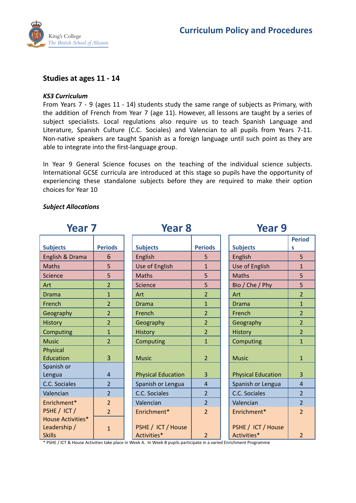

### **Studies at ages 11 - 14**

#### *KS3 Curriculum*

From Years 7 - 9 (ages 11 - 14) students study the same range of subjects as Primary, with the addition of French from Year 7 (age 11). However, all lessons are taught by a series of subject specialists. Local regulations also require us to teach Spanish Language and Literature, Spanish Culture (C.C. Sociales) and Valencian to all pupils from Years 7-11. Non-native speakers are taught Spanish as a foreign language until such point as they are able to integrate into the first-language group.

In Year 9 General Science focuses on the teaching of the individual science subjects. International GCSE curricula are introduced at this stage so pupils have the opportunity of experiencing these standalone subjects before they are required to make their option choices for Year 10

#### *Subject Allocations*

| <b>Year 7</b>            |                |                           | <b>Year 8</b>  |  | <b>Year 9</b>             |                |
|--------------------------|----------------|---------------------------|----------------|--|---------------------------|----------------|
|                          |                |                           |                |  |                           | <b>Period</b>  |
| <b>Subjects</b>          | <b>Periods</b> | <b>Subjects</b>           | <b>Periods</b> |  | <b>Subjects</b>           | S              |
| English & Drama          | 6              | English                   | 5              |  | English                   | 5              |
| <b>Maths</b>             | 5              | <b>Use of English</b>     | $\mathbf{1}$   |  | Use of English            | $\mathbf{1}$   |
| Science                  | 5              | <b>Maths</b>              | 5              |  | <b>Maths</b>              | 5              |
| Art                      | $\overline{2}$ | <b>Science</b>            | 5              |  | Bio / Che / Phy           | 5              |
| <b>Drama</b>             | $\mathbf{1}$   | Art                       | $\overline{2}$ |  | Art                       | $\overline{2}$ |
| French                   | $\overline{2}$ | <b>Drama</b>              | $\mathbf{1}$   |  | <b>Drama</b>              | $\mathbf{1}$   |
| Geography                | $\overline{2}$ | French                    | $\overline{2}$ |  | French                    | $\overline{2}$ |
| <b>History</b>           | $\overline{2}$ | Geography                 | $\overline{2}$ |  | Geography                 | $\overline{2}$ |
| Computing                | $\mathbf{1}$   | <b>History</b>            | $\overline{2}$ |  | <b>History</b>            | $\overline{2}$ |
| <b>Music</b>             | $\overline{2}$ | Computing                 | $\mathbf{1}$   |  | Computing                 | $\mathbf{1}$   |
| Physical<br>Education    | 3              | <b>Music</b>              | $\overline{2}$ |  | <b>Music</b>              | $\mathbf{1}$   |
| Spanish or               |                |                           |                |  |                           |                |
| Lengua                   | $\overline{4}$ | <b>Physical Education</b> | 3              |  | <b>Physical Education</b> | 3              |
| C.C. Sociales            | $\overline{2}$ | Spanish or Lengua         | $\overline{4}$ |  | Spanish or Lengua         | $\overline{4}$ |
| Valencian                | $\overline{2}$ | C.C. Sociales             | $\overline{2}$ |  | C.C. Sociales             | $\overline{2}$ |
| Enrichment*              | $\overline{2}$ | Valencian                 | $\overline{2}$ |  | Valencian                 | $\overline{2}$ |
| PSHE / ICT /             | $\overline{2}$ | Enrichment*               | $\overline{2}$ |  | Enrichment*               | $\overline{2}$ |
| <b>House Activities*</b> |                |                           |                |  |                           |                |
| Leadership /             | $\mathbf{1}$   | PSHE / ICT / House        |                |  | PSHE / ICT / House        |                |
| <b>Skills</b>            |                | Activities*               | $\overline{2}$ |  | Activities*               | $\overline{2}$ |

\* PSHE / ICT & House Activities take place in Week A. In Week B pupils participate in a varied Enrichment Programme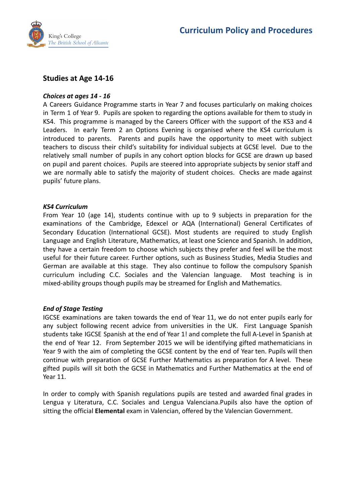

### **Studies at Age 14-16**

#### *Choices at ages 14 - 16*

A Careers Guidance Programme starts in Year 7 and focuses particularly on making choices in Term 1 of Year 9. Pupils are spoken to regarding the options available for them to study in KS4. This programme is managed by the Careers Officer with the support of the KS3 and 4 Leaders. In early Term 2 an Options Evening is organised where the KS4 curriculum is introduced to parents. Parents and pupils have the opportunity to meet with subject teachers to discuss their child's suitability for individual subjects at GCSE level. Due to the relatively small number of pupils in any cohort option blocks for GCSE are drawn up based on pupil and parent choices. Pupils are steered into appropriate subjects by senior staff and we are normally able to satisfy the majority of student choices. Checks are made against pupils' future plans.

#### *KS4 Curriculum*

From Year 10 (age 14), students continue with up to 9 subjects in preparation for the examinations of the Cambridge, Edexcel or AQA (International) General Certificates of Secondary Education (International GCSE). Most students are required to study English Language and English Literature, Mathematics, at least one Science and Spanish. In addition, they have a certain freedom to choose which subjects they prefer and feel will be the most useful for their future career. Further options, such as Business Studies, Media Studies and German are available at this stage. They also continue to follow the compulsory Spanish curriculum including C.C. Sociales and the Valencian language. Most teaching is in mixed-ability groups though pupils may be streamed for English and Mathematics.

#### *End of Stage Testing*

IGCSE examinations are taken towards the end of Year 11, we do not enter pupils early for any subject following recent advice from universities in the UK. First Language Spanish students take IGCSE Spanish at the end of Year 1! and complete the full A-Level in Spanish at the end of Year 12. From September 2015 we will be identifying gifted mathematicians in Year 9 with the aim of completing the GCSE content by the end of Year ten. Pupils will then continue with preparation of GCSE Further Mathematics as preparation for A level. These gifted pupils will sit both the GCSE in Mathematics and Further Mathematics at the end of Year 11.

In order to comply with Spanish regulations pupils are tested and awarded final grades in Lengua y Literatura, C.C. Sociales and Lengua Valenciana.Pupils also have the option of sitting the official **Elemental** exam in Valencian, offered by the Valencian Government.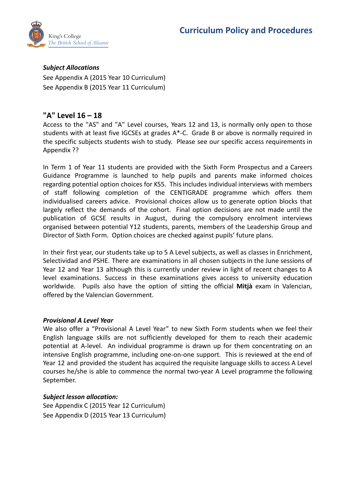

*Subject Allocations* See Appendix A (2015 Year 10 Curriculum) See Appendix B (2015 Year 11 Curriculum)

### **"A" Level 16 – 18**

Access to the "AS" and "A" Level courses, Years 12 and 13, is normally only open to those students with at least five IGCSEs at grades A\*-C. Grade B or above is normally required in the specific subjects students wish to study. Please see our specific access requirements in Appendix ??

In Term 1 of Year 11 students are provided with the Sixth Form Prospectus and a Careers Guidance Programme is launched to help pupils and parents make informed choices regarding potential option choices for KS5. This includes individual interviews with members of staff following completion of the CENTIGRADE programme which offers them individualised careers advice. Provisional choices allow us to generate option blocks that largely reflect the demands of the cohort. Final option decisions are not made until the publication of GCSE results in August, during the compulsory enrolment interviews organised between potential Y12 students, parents, members of the Leadership Group and Director of Sixth Form. Option choices are checked against pupils' future plans.

In their first year, our students take up to 5 A Level subjects, as well as classes in Enrichment, Selectividad and PSHE. There are examinations in all chosen subjects in the June sessions of Year 12 and Year 13 although this is currently under review in light of recent changes to A level examinations. Success in these examinations gives access to university education worldwide. Pupils also have the option of sitting the official **Mitjà** exam in Valencian, offered by the Valencian Government.

#### *Provisional A Level Year*

We also offer a "Provisional A Level Year" to new Sixth Form students when we feel their English language skills are not sufficiently developed for them to reach their academic potential at A-level. An individual programme is drawn up for them concentrating on an intensive English programme, including one-on-one support. This is reviewed at the end of Year 12 and provided the student has acquired the requisite language skills to access A Level courses he/she is able to commence the normal two-year A Level programme the following September.

#### *Subject lesson allocation:*

See Appendix C (2015 Year 12 Curriculum) See Appendix D (2015 Year 13 Curriculum)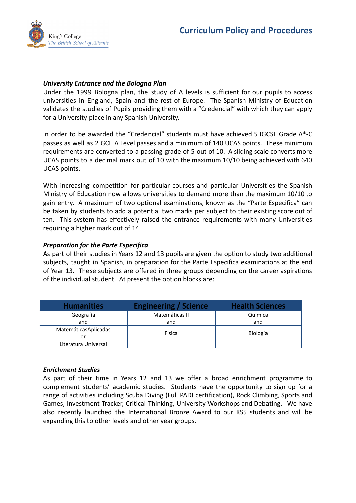

#### *University Entrance and the Bologna Plan*

Under the 1999 Bologna plan, the study of A levels is sufficient for our pupils to access universities in England, Spain and the rest of Europe. The Spanish Ministry of Education validates the studies of Pupils providing them with a "Credencial" with which they can apply for a University place in any Spanish University.

In order to be awarded the "Credencial" students must have achieved 5 IGCSE Grade A\*-C passes as well as 2 GCE A Level passes and a minimum of 140 UCAS points. These minimum requirements are converted to a passing grade of 5 out of 10. A sliding scale converts more UCAS points to a decimal mark out of 10 with the maximum 10/10 being achieved with 640 UCAS points.

With increasing competition for particular courses and particular Universities the Spanish Ministry of Education now allows universities to demand more than the maximum 10/10 to gain entry. A maximum of two optional examinations, known as the "Parte Especifica" can be taken by students to add a potential two marks per subject to their existing score out of ten. This system has effectively raised the entrance requirements with many Universities requiring a higher mark out of 14.

#### *Preparation for the Parte Especifica*

As part of their studies in Years 12 and 13 pupils are given the option to study two additional subjects, taught in Spanish, in preparation for the Parte Especifica examinations at the end of Year 13. These subjects are offered in three groups depending on the career aspirations of the individual student. At present the option blocks are:

| <b>Humanities</b>          | <b>Engineering / Science</b> | <b>Health Sciences</b> |
|----------------------------|------------------------------|------------------------|
| Geografía                  | Matemáticas II               | Quimica                |
| and                        | and                          | and                    |
| MatemáticasAplicadas<br>or | Física                       | Biología               |
| Literatura Universal       |                              |                        |

#### *Enrichment Studies*

As part of their time in Years 12 and 13 we offer a broad enrichment programme to complement students' academic studies. Students have the opportunity to sign up for a range of activities including Scuba Diving (Full PADI certification), Rock Climbing, Sports and Games, Investment Tracker, Critical Thinking, University Workshops and Debating. We have also recently launched the International Bronze Award to our KS5 students and will be expanding this to other levels and other year groups.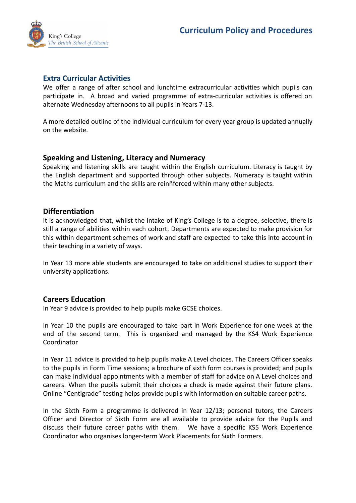

## **Extra Curricular Activities**

We offer a range of after school and lunchtime extracurricular activities which pupils can participate in. A broad and varied programme of extra-curricular activities is offered on alternate Wednesday afternoons to all pupils in Years 7-13.

A more detailed outline of the individual curriculum for every year group is updated annually on the website.

#### **Speaking and Listening, Literacy and Numeracy**

Speaking and listening skills are taught within the English curriculum. Literacy is taught by the English department and supported through other subjects. Numeracy is taught within the Maths curriculum and the skills are reinñforced within many other subjects.

#### **Differentiation**

It is acknowledged that, whilst the intake of King's College is to a degree, selective, there is still a range of abilities within each cohort. Departments are expected to make provision for this within department schemes of work and staff are expected to take this into account in their teaching in a variety of ways.

In Year 13 more able students are encouraged to take on additional studies to support their university applications.

#### **Careers Education**

In Year 9 advice is provided to help pupils make GCSE choices.

In Year 10 the pupils are encouraged to take part in Work Experience for one week at the end of the second term. This is organised and managed by the KS4 Work Experience Coordinator

In Year 11 advice is provided to help pupils make A Level choices. The Careers Officer speaks to the pupils in Form Time sessions; a brochure of sixth form courses is provided; and pupils can make individual appointments with a member of staff for advice on A Level choices and careers. When the pupils submit their choices a check is made against their future plans. Online "Centigrade" testing helps provide pupils with information on suitable career paths.

In the Sixth Form a programme is delivered in Year 12/13; personal tutors, the Careers Officer and Director of Sixth Form are all available to provide advice for the Pupils and discuss their future career paths with them. We have a specific KS5 Work Experience Coordinator who organises longer-term Work Placements for Sixth Formers.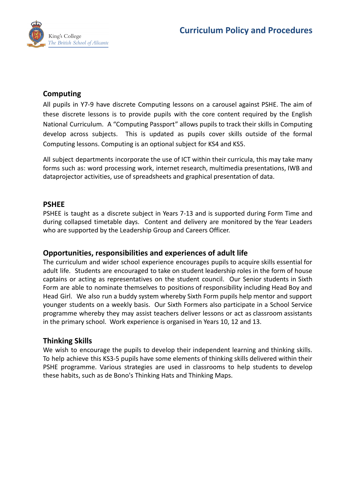

## **Computing**

All pupils in Y7-9 have discrete Computing lessons on a carousel against PSHE. The aim of these discrete lessons is to provide pupils with the core content required by the English National Curriculum. A "Computing Passport" allows pupils to track their skills in Computing develop across subjects. This is updated as pupils cover skills outside of the formal Computing lessons. Computing is an optional subject for KS4 and KS5.

All subject departments incorporate the use of ICT within their curricula, this may take many forms such as: word processing work, internet research, multimedia presentations, IWB and dataprojector activities, use of spreadsheets and graphical presentation of data.

### **PSHEE**

PSHEE is taught as a discrete subject in Years 7-13 and is supported during Form Time and during collapsed timetable days. Content and delivery are monitored by the Year Leaders who are supported by the Leadership Group and Careers Officer.

#### **Opportunities, responsibilities and experiences of adult life**

The curriculum and wider school experience encourages pupils to acquire skills essential for adult life. Students are encouraged to take on student leadership roles in the form of house captains or acting as representatives on the student council. Our Senior students in Sixth Form are able to nominate themselves to positions of responsibility including Head Boy and Head Girl. We also run a buddy system whereby Sixth Form pupils help mentor and support younger students on a weekly basis. Our Sixth Formers also participate in a School Service programme whereby they may assist teachers deliver lessons or act as classroom assistants in the primary school. Work experience is organised in Years 10, 12 and 13.

## **Thinking Skills**

We wish to encourage the pupils to develop their independent learning and thinking skills. To help achieve this KS3-5 pupils have some elements of thinking skills delivered within their PSHE programme. Various strategies are used in classrooms to help students to develop these habits, such as de Bono's Thinking Hats and Thinking Maps.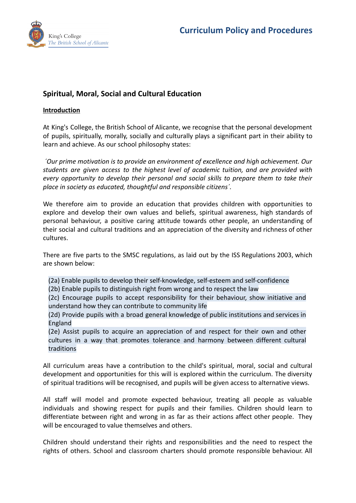

## **Spiritual, Moral, Social and Cultural Education**

#### **Introduction**

At King's College, the British School of Alicante, we recognise that the personal development of pupils, spiritually, morally, socially and culturally plays a significant part in their ability to learn and achieve. As our school philosophy states:

*´Our prime motivation is to provide an environment of excellence and high achievement. Our students are given access to the highest level of academic tuition, and are provided with every opportunity to develop their personal and social skills to prepare them to take their place in society as educated, thoughtful and responsible citizens´.*

We therefore aim to provide an education that provides children with opportunities to explore and develop their own values and beliefs, spiritual awareness, high standards of personal behaviour, a positive caring attitude towards other people, an understanding of their social and cultural traditions and an appreciation of the diversity and richness of other cultures.

There are five parts to the SMSC regulations, as laid out by the ISS Regulations 2003, which are shown below:

(2a) Enable pupils to develop their self-knowledge, self-esteem and self-confidence

(2b) Enable pupils to distinguish right from wrong and to respect the law

(2c) Encourage pupils to accept responsibility for their behaviour, show initiative and understand how they can contribute to community life

(2d) Provide pupils with a broad general knowledge of public institutions and services in England

(2e) Assist pupils to acquire an appreciation of and respect for their own and other cultures in a way that promotes tolerance and harmony between different cultural traditions

All curriculum areas have a contribution to the child's spiritual, moral, social and cultural development and opportunities for this will is explored within the curriculum. The diversity of spiritual traditions will be recognised, and pupils will be given access to alternative views.

All staff will model and promote expected behaviour, treating all people as valuable individuals and showing respect for pupils and their families. Children should learn to differentiate between right and wrong in as far as their actions affect other people. They will be encouraged to value themselves and others.

Children should understand their rights and responsibilities and the need to respect the rights of others. School and classroom charters should promote responsible behaviour. All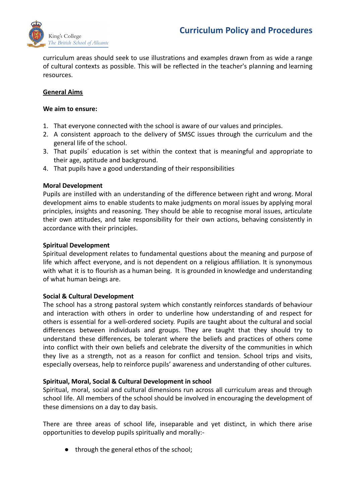

curriculum areas should seek to use illustrations and examples drawn from as wide a range of cultural contexts as possible. This will be reflected in the teacher's planning and learning resources.

#### **General Aims**

#### **We aim to ensure:**

- 1. That everyone connected with the school is aware of our values and principles.
- 2. A consistent approach to the delivery of SMSC issues through the curriculum and the general life of the school.
- 3. That pupils´ education is set within the context that is meaningful and appropriate to their age, aptitude and background.
- 4. That pupils have a good understanding of their responsibilities

#### **Moral Development**

Pupils are instilled with an understanding of the difference between right and wrong. Moral development aims to enable students to make judgments on moral issues by applying moral principles, insights and reasoning. They should be able to recognise moral issues, articulate their own attitudes, and take responsibility for their own actions, behaving consistently in accordance with their principles.

#### **Spiritual Development**

Spiritual development relates to fundamental questions about the meaning and purpose of life which affect everyone, and is not dependent on a religious affiliation. It is synonymous with what it is to flourish as a human being. It is grounded in knowledge and understanding of what human beings are.

#### **Social & Cultural Development**

The school has a strong pastoral system which constantly reinforces standards of behaviour and interaction with others in order to underline how understanding of and respect for others is essential for a well-ordered society. Pupils are taught about the cultural and social differences between individuals and groups. They are taught that they should try to understand these differences, be tolerant where the beliefs and practices of others come into conflict with their own beliefs and celebrate the diversity of the communities in which they live as a strength, not as a reason for conflict and tension. School trips and visits, especially overseas, help to reinforce pupils' awareness and understanding of other cultures.

#### **Spiritual, Moral, Social & Cultural Development in school**

Spiritual, moral, social and cultural dimensions run across all curriculum areas and through school life. All members of the school should be involved in encouraging the development of these dimensions on a day to day basis.

There are three areas of school life, inseparable and yet distinct, in which there arise opportunities to develop pupils spiritually and morally:-

● through the general ethos of the school;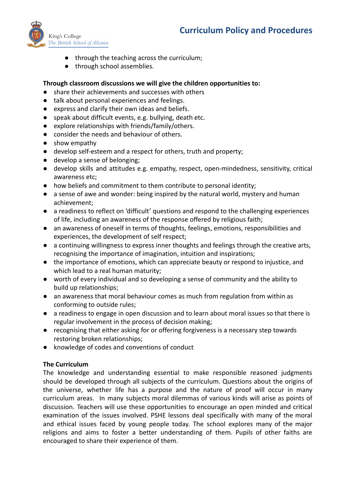

- through the teaching across the curriculum;
- through school assemblies.

#### **Through classroom discussions we will give the children opportunities to:**

- share their achievements and successes with others
- talk about personal experiences and feelings.
- express and clarify their own ideas and beliefs.
- speak about difficult events, e.g. bullying, death etc.
- explore relationships with friends/family/others.
- consider the needs and behaviour of others.
- show empathy
- develop self-esteem and a respect for others, truth and property;
- develop a sense of belonging;
- develop skills and attitudes e.g. empathy, respect, open-mindedness, sensitivity, critical awareness etc;
- how beliefs and commitment to them contribute to personal identity;
- a sense of awe and wonder: being inspired by the natural world, mystery and human achievement;
- a readiness to reflect on 'difficult' questions and respond to the challenging experiences of life, including an awareness of the response offered by religious faith;
- an awareness of oneself in terms of thoughts, feelings, emotions, responsibilities and experiences, the development of self respect;
- a continuing willingness to express inner thoughts and feelings through the creative arts, recognising the importance of imagination, intuition and inspirations;
- the importance of emotions, which can appreciate beauty or respond to injustice, and which lead to a real human maturity;
- worth of every individual and so developing a sense of community and the ability to build up relationships;
- an awareness that moral behaviour comes as much from regulation from within as conforming to outside rules;
- a readiness to engage in open discussion and to learn about moral issues so that there is regular involvement in the process of decision making;
- recognising that either asking for or offering forgiveness is a necessary step towards restoring broken relationships;
- knowledge of codes and conventions of conduct

#### **The Curriculum**

The knowledge and understanding essential to make responsible reasoned judgments should be developed through all subjects of the curriculum. Questions about the origins of the universe, whether life has a purpose and the nature of proof will occur in many curriculum areas. In many subjects moral dilemmas of various kinds will arise as points of discussion. Teachers will use these opportunities to encourage an open minded and critical examination of the issues involved. PSHE lessons deal specifically with many of the moral and ethical issues faced by young people today. The school explores many of the major religions and aims to foster a better understanding of them. Pupils of other faiths are encouraged to share their experience of them.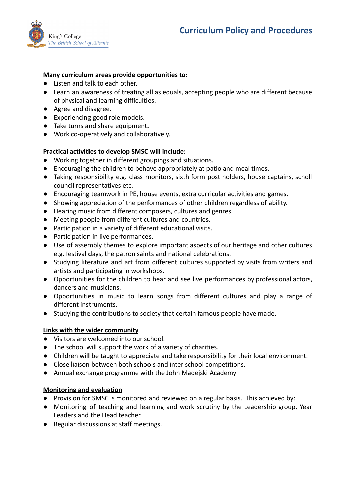

#### **Many curriculum areas provide opportunities to:**

- Listen and talk to each other.
- Learn an awareness of treating all as equals, accepting people who are different because of physical and learning difficulties.
- Agree and disagree.
- Experiencing good role models.
- Take turns and share equipment.
- Work co-operatively and collaboratively.

#### **Practical activities to develop SMSC will include:**

- Working together in different groupings and situations.
- Encouraging the children to behave appropriately at patio and meal times.
- Taking responsibility e.g. class monitors, sixth form post holders, house captains, scholl council representatives etc.
- Encouraging teamwork in PE, house events, extra curricular activities and games.
- Showing appreciation of the performances of other children regardless of ability.
- Hearing music from different composers, cultures and genres.
- Meeting people from different cultures and countries.
- Participation in a variety of different educational visits.
- Participation in live performances.
- Use of assembly themes to explore important aspects of our heritage and other cultures e.g. festival days, the patron saints and national celebrations.
- Studying literature and art from different cultures supported by visits from writers and artists and participating in workshops.
- Opportunities for the children to hear and see live performances by professional actors, dancers and musicians.
- Opportunities in music to learn songs from different cultures and play a range of different instruments.
- Studying the contributions to society that certain famous people have made.

#### **Links with the wider community**

- Visitors are welcomed into our school.
- The school will support the work of a variety of charities.
- Children will be taught to appreciate and take responsibility for their local environment.
- Close liaison between both schools and inter school competitions.
- Annual exchange programme with the John Madejski Academy

#### **Monitoring and evaluation**

- Provision for SMSC is monitored and reviewed on a regular basis. This achieved by:
- Monitoring of teaching and learning and work scrutiny by the Leadership group, Year Leaders and the Head teacher
- Regular discussions at staff meetings.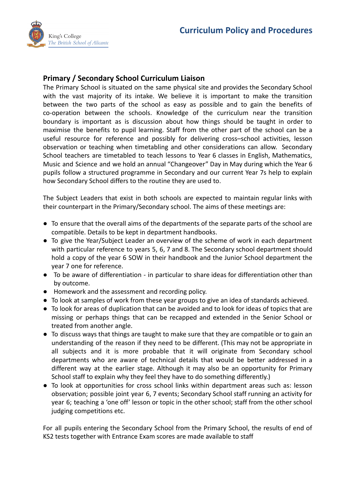

## **Primary / Secondary School Curriculum Liaison**

The Primary School is situated on the same physical site and provides the Secondary School with the vast majority of its intake. We believe it is important to make the transition between the two parts of the school as easy as possible and to gain the benefits of co-operation between the schools. Knowledge of the curriculum near the transition boundary is important as is discussion about how things should be taught in order to maximise the benefits to pupil learning. Staff from the other part of the school can be a useful resource for reference and possibly for delivering cross–school activities, lesson observation or teaching when timetabling and other considerations can allow. Secondary School teachers are timetabled to teach lessons to Year 6 classes in English, Mathematics, Music and Science and we hold an annual "Changeover" Day in May during which the Year 6 pupils follow a structured programme in Secondary and our current Year 7s help to explain how Secondary School differs to the routine they are used to.

The Subject Leaders that exist in both schools are expected to maintain regular links with their counterpart in the Primary/Secondary school. The aims of these meetings are:

- To ensure that the overall aims of the departments of the separate parts of the school are compatible. Details to be kept in department handbooks.
- To give the Year/Subject Leader an overview of the scheme of work in each department with particular reference to years 5, 6, 7 and 8. The Secondary school department should hold a copy of the year 6 SOW in their handbook and the Junior School department the year 7 one for reference.
- To be aware of differentiation in particular to share ideas for differentiation other than by outcome.
- Homework and the assessment and recording policy.
- To look at samples of work from these year groups to give an idea of standards achieved.
- To look for areas of duplication that can be avoided and to look for ideas of topics that are missing or perhaps things that can be recapped and extended in the Senior School or treated from another angle.
- To discuss ways that things are taught to make sure that they are compatible or to gain an understanding of the reason if they need to be different. (This may not be appropriate in all subjects and it is more probable that it will originate from Secondary school departments who are aware of technical details that would be better addressed in a different way at the earlier stage. Although it may also be an opportunity for Primary School staff to explain why they feel they have to do something differently.)
- To look at opportunities for cross school links within department areas such as: lesson observation; possible joint year 6, 7 events; Secondary School staff running an activity for year 6; teaching a 'one off' lesson or topic in the other school; staff from the other school judging competitions etc.

For all pupils entering the Secondary School from the Primary School, the results of end of KS2 tests together with Entrance Exam scores are made available to staff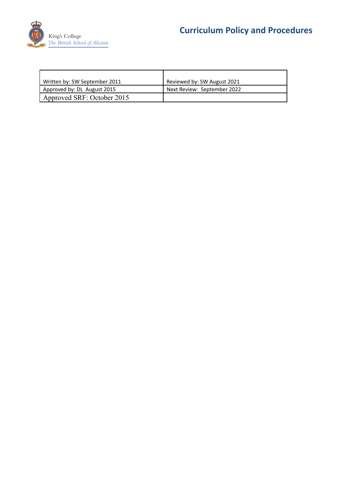

| Written by: SW September 2011 | Reviewed by: SW August 2021 |
|-------------------------------|-----------------------------|
| Approved by: DL August 2015   | Next Review: September 2022 |
| Approved SRF: October 2015    |                             |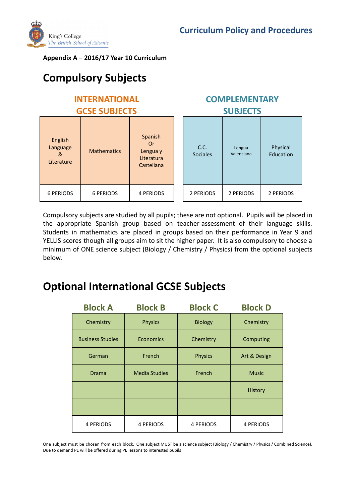**COMPLEMENTARY SUBJECTS**



**Appendix A – 2016/17 Year 10 Curriculum**

# **Compulsory Subjects**

## **INTERNATIONAL GCSE SUBJECTS**

| English<br>Language<br>&<br>Literature | <b>Mathematics</b> | Spanish<br>0r<br>Lengua y<br>Literatura<br>Castellana |  | C.C.<br><b>Sociales</b> | Lengua<br>Valenciana | Physical<br>Education |
|----------------------------------------|--------------------|-------------------------------------------------------|--|-------------------------|----------------------|-----------------------|
| 6 PERIODS                              | <b>6 PERIODS</b>   | 4 PERIODS                                             |  | 2 PERIODS               | 2 PERIODS            | 2 PERIODS             |

Compulsory subjects are studied by all pupils; these are not optional. Pupils will be placed in the appropriate Spanish group based on teacher-assessment of their language skills. Students in mathematics are placed in groups based on their performance in Year 9 and YELLIS scores though all groups aim to sit the higher paper. It is also compulsory to choose a minimum of ONE science subject (Biology / Chemistry / Physics) from the optional subjects below.

## **Optional International GCSE Subjects**

| <b>Block A</b>          | <b>Block B</b>       | <b>Block C</b>   | <b>Block D</b>   |
|-------------------------|----------------------|------------------|------------------|
| Chemistry               | <b>Physics</b>       | <b>Biology</b>   | Chemistry        |
| <b>Business Studies</b> | <b>Economics</b>     | Chemistry        | Computing        |
| German                  | French               | <b>Physics</b>   | Art & Design     |
| <b>Drama</b>            | <b>Media Studies</b> | French           | <b>Music</b>     |
|                         |                      |                  | <b>History</b>   |
|                         |                      |                  |                  |
| <b>4 PERIODS</b>        | <b>4 PERIODS</b>     | <b>4 PERIODS</b> | <b>4 PERIODS</b> |

One subject must be chosen from each block. One subject MUST be a science subject (Biology / Chemistry / Physics / Combined Science). Due to demand PE will be offered during PE lessons to interested pupils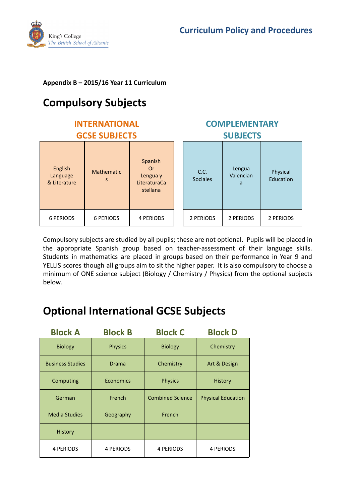

### **Appendix B – 2015/16 Year 11 Curriculum**

# **Compulsory Subjects**

## **INTERNATIONAL GCSE SUBJECTS**

| English<br>Language<br>& Literature | <b>Mathematic</b><br>S | Spanish<br>0r<br>Lengua y<br>LiteraturaCa<br>stellana | C.C.<br><b>Sociales</b> | Lengua<br>Valencian<br>a | Physical<br>Education |
|-------------------------------------|------------------------|-------------------------------------------------------|-------------------------|--------------------------|-----------------------|
| 6 PERIODS                           | <b>6 PERIODS</b>       | 4 PERIODS                                             | 2 PERIODS               | 2 PERIODS                | 2 PERIODS             |

## **COMPLEMENTARY SUBJECTS**

| C.C.<br><b>Sociales</b> | Lengua<br>Valencian<br>a | Physical<br>Education |
|-------------------------|--------------------------|-----------------------|
| 2 PERIODS               | 2 PERIODS                | 2 PERIODS             |

Compulsory subjects are studied by all pupils; these are not optional. Pupils will be placed in the appropriate Spanish group based on teacher-assessment of their language skills. Students in mathematics are placed in groups based on their performance in Year 9 and YELLIS scores though all groups aim to sit the higher paper. It is also compulsory to choose a minimum of ONE science subject (Biology / Chemistry / Physics) from the optional subjects below.

# **Optional International GCSE Subjects**

| <b>Block A</b>          | <b>Block B</b>   | <b>Block C</b>          | <b>Block D</b>            |
|-------------------------|------------------|-------------------------|---------------------------|
| <b>Biology</b>          | <b>Physics</b>   | <b>Biology</b>          | Chemistry                 |
| <b>Business Studies</b> | <b>Drama</b>     | Chemistry               | Art & Design              |
| Computing               | Economics        | <b>Physics</b>          | <b>History</b>            |
| German                  | French           | <b>Combined Science</b> | <b>Physical Education</b> |
| <b>Media Studies</b>    | Geography        | French                  |                           |
| <b>History</b>          |                  |                         |                           |
| <b>4 PERIODS</b>        | <b>4 PERIODS</b> | <b>4 PERIODS</b>        | <b>4 PERIODS</b>          |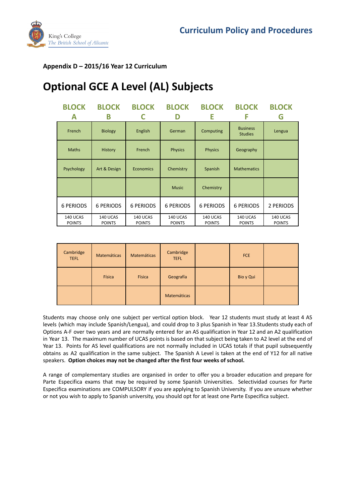

#### **Appendix D – 2015/16 Year 12 Curriculum**

## **Optional GCE A Level (AL) Subjects**

| <b>BLOCK</b>              | <b>BLOCK</b>              | <b>BLOCK</b>              | <b>BLOCK</b>              | <b>BLOCK</b>              | <b>BLOCK</b>                      | <b>BLOCK</b>              |
|---------------------------|---------------------------|---------------------------|---------------------------|---------------------------|-----------------------------------|---------------------------|
| A                         | Β                         |                           |                           | Е                         | F                                 | G                         |
| French                    | <b>Biology</b>            | English                   | German                    | Computing                 | <b>Business</b><br><b>Studies</b> | Lengua                    |
| <b>Maths</b>              | History                   | French                    | <b>Physics</b>            | <b>Physics</b>            | Geography                         |                           |
| Psychology                | Art & Design              | <b>Economics</b>          | Chemistry                 | Spanish                   | <b>Mathematics</b>                |                           |
|                           |                           |                           | <b>Music</b>              | Chemistry                 |                                   |                           |
| <b>6 PERIODS</b>          | <b>6 PERIODS</b>          | <b>6 PERIODS</b>          | <b>6 PERIODS</b>          | <b>6 PERIODS</b>          | <b>6 PERIODS</b>                  | 2 PERIODS                 |
| 140 UCAS<br><b>POINTS</b> | 140 UCAS<br><b>POINTS</b> | 140 UCAS<br><b>POINTS</b> | 140 UCAS<br><b>POINTS</b> | 140 UCAS<br><b>POINTS</b> | 140 UCAS<br><b>POINTS</b>         | 140 UCAS<br><b>POINTS</b> |

| Cambridge<br><b>TEFL</b> | Matemáticas | <b>Matemáticas</b> | Cambridge<br><b>TEFL</b> | <b>FCE</b> |  |
|--------------------------|-------------|--------------------|--------------------------|------------|--|
|                          | Física      | Física             | Geografía                | Bio y Qui  |  |
|                          |             |                    | Matemáticas              |            |  |

Students may choose only one subject per vertical option block. Year 12 students must study at least 4 AS levels (which may include Spanish/Lengua), and could drop to 3 plus Spanish in Year 13.Students study each of Options A-F over two years and are normally entered for an AS qualification in Year 12 and an A2 qualification in Year 13. The maximum number of UCAS points is based on that subject being taken to A2 level at the end of Year 13. Points for AS level qualifications are not normally included in UCAS totals if that pupil subsequently obtains as A2 qualification in the same subject. The Spanish A Level is taken at the end of Y12 for all native speakers. **Option choices may not be changed after the first four weeks of school.**

A range of complementary studies are organised in order to offer you a broader education and prepare for Parte Especifica exams that may be required by some Spanish Universities. Selectividad courses for Parte Especifica examinations are COMPULSORY if you are applying to Spanish University. If you are unsure whether or not you wish to apply to Spanish university, you should opt for at least one Parte Especifica subject.